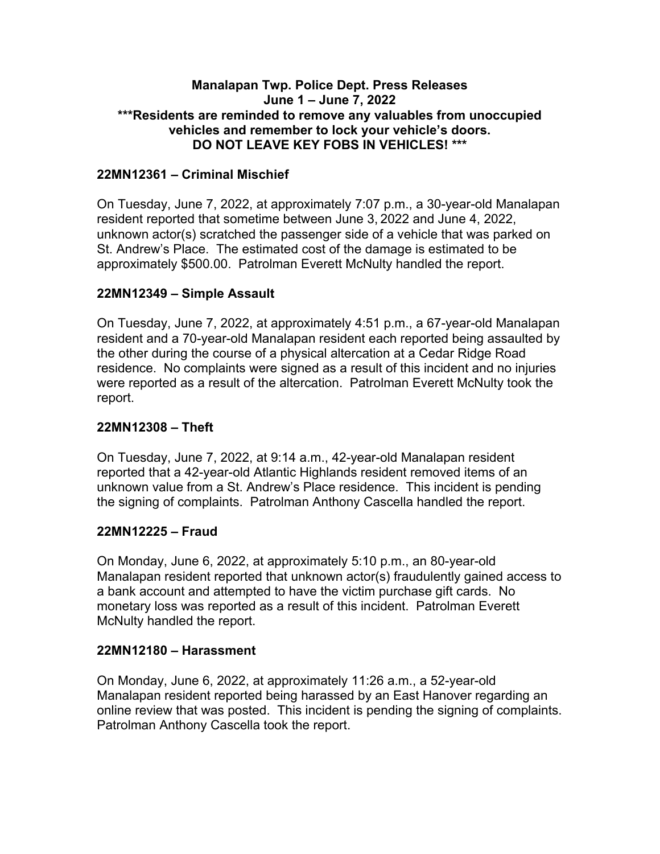### **Manalapan Twp. Police Dept. Press Releases June 1 – June 7, 2022 \*\*\*Residents are reminded to remove any valuables from unoccupied vehicles and remember to lock your vehicle's doors. DO NOT LEAVE KEY FOBS IN VEHICLES! \*\*\***

## **22MN12361 – Criminal Mischief**

On Tuesday, June 7, 2022, at approximately 7:07 p.m., a 30-year-old Manalapan resident reported that sometime between June 3, 2022 and June 4, 2022, unknown actor(s) scratched the passenger side of a vehicle that was parked on St. Andrew's Place. The estimated cost of the damage is estimated to be approximately \$500.00. Patrolman Everett McNulty handled the report.

### **22MN12349 – Simple Assault**

On Tuesday, June 7, 2022, at approximately 4:51 p.m., a 67-year-old Manalapan resident and a 70-year-old Manalapan resident each reported being assaulted by the other during the course of a physical altercation at a Cedar Ridge Road residence. No complaints were signed as a result of this incident and no injuries were reported as a result of the altercation. Patrolman Everett McNulty took the report.

#### **22MN12308 – Theft**

On Tuesday, June 7, 2022, at 9:14 a.m., 42-year-old Manalapan resident reported that a 42-year-old Atlantic Highlands resident removed items of an unknown value from a St. Andrew's Place residence. This incident is pending the signing of complaints. Patrolman Anthony Cascella handled the report.

### **22MN12225 – Fraud**

On Monday, June 6, 2022, at approximately 5:10 p.m., an 80-year-old Manalapan resident reported that unknown actor(s) fraudulently gained access to a bank account and attempted to have the victim purchase gift cards. No monetary loss was reported as a result of this incident. Patrolman Everett McNulty handled the report.

#### **22MN12180 – Harassment**

On Monday, June 6, 2022, at approximately 11:26 a.m., a 52-year-old Manalapan resident reported being harassed by an East Hanover regarding an online review that was posted. This incident is pending the signing of complaints. Patrolman Anthony Cascella took the report.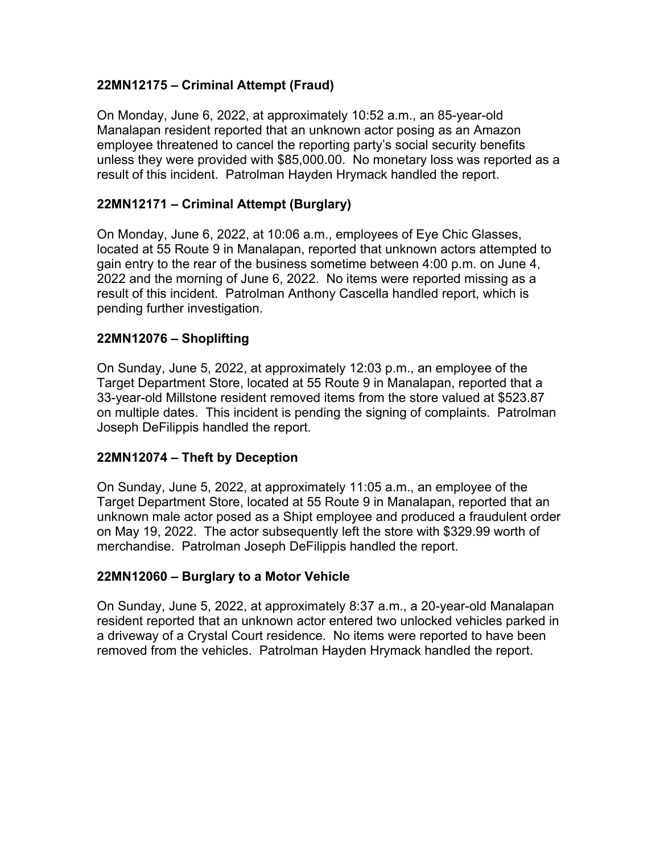## **22MN12175 – Criminal Attempt (Fraud)**

On Monday, June 6, 2022, at approximately 10:52 a.m., an 85-year-old Manalapan resident reported that an unknown actor posing as an Amazon employee threatened to cancel the reporting party's social security benefits unless they were provided with \$85,000.00. No monetary loss was reported as a result of this incident. Patrolman Hayden Hrymack handled the report.

## **22MN12171 – Criminal Attempt (Burglary)**

On Monday, June 6, 2022, at 10:06 a.m., employees of Eye Chic Glasses, located at 55 Route 9 in Manalapan, reported that unknown actors attempted to gain entry to the rear of the business sometime between 4:00 p.m. on June 4, 2022 and the morning of June 6, 2022. No items were reported missing as a result of this incident. Patrolman Anthony Cascella handled report, which is pending further investigation.

### **22MN12076 – Shoplifting**

On Sunday, June 5, 2022, at approximately 12:03 p.m., an employee of the Target Department Store, located at 55 Route 9 in Manalapan, reported that a 33-year-old Millstone resident removed items from the store valued at \$523.87 on multiple dates. This incident is pending the signing of complaints. Patrolman Joseph DeFilippis handled the report.

### **22MN12074 – Theft by Deception**

On Sunday, June 5, 2022, at approximately 11:05 a.m., an employee of the Target Department Store, located at 55 Route 9 in Manalapan, reported that an unknown male actor posed as a Shipt employee and produced a fraudulent order on May 19, 2022. The actor subsequently left the store with \$329.99 worth of merchandise. Patrolman Joseph DeFilippis handled the report.

### **22MN12060 – Burglary to a Motor Vehicle**

On Sunday, June 5, 2022, at approximately 8:37 a.m., a 20-year-old Manalapan resident reported that an unknown actor entered two unlocked vehicles parked in a driveway of a Crystal Court residence. No items were reported to have been removed from the vehicles. Patrolman Hayden Hrymack handled the report.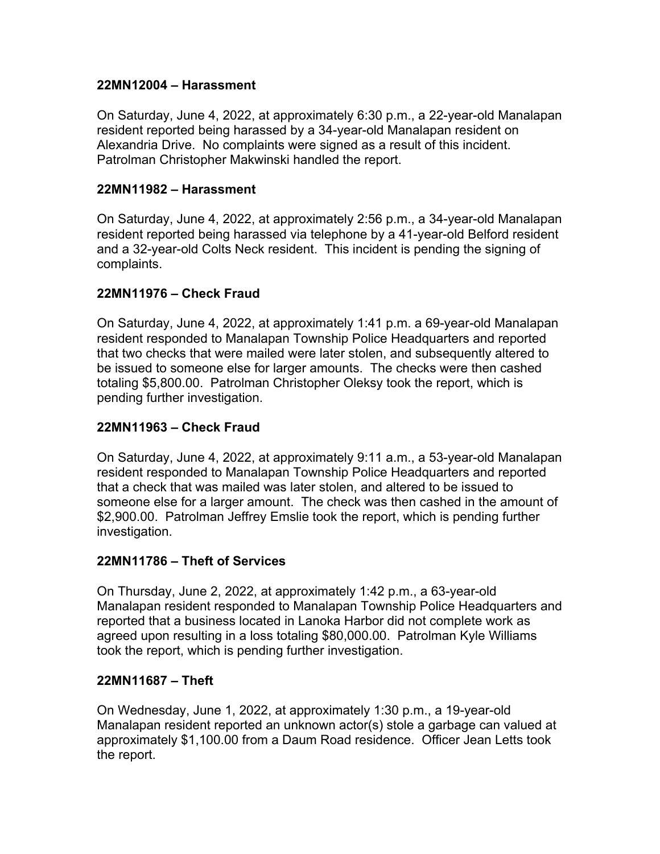### **22MN12004 – Harassment**

On Saturday, June 4, 2022, at approximately 6:30 p.m., a 22-year-old Manalapan resident reported being harassed by a 34-year-old Manalapan resident on Alexandria Drive. No complaints were signed as a result of this incident. Patrolman Christopher Makwinski handled the report.

#### **22MN11982 – Harassment**

On Saturday, June 4, 2022, at approximately 2:56 p.m., a 34-year-old Manalapan resident reported being harassed via telephone by a 41-year-old Belford resident and a 32-year-old Colts Neck resident. This incident is pending the signing of complaints.

#### **22MN11976 – Check Fraud**

On Saturday, June 4, 2022, at approximately 1:41 p.m. a 69-year-old Manalapan resident responded to Manalapan Township Police Headquarters and reported that two checks that were mailed were later stolen, and subsequently altered to be issued to someone else for larger amounts. The checks were then cashed totaling \$5,800.00. Patrolman Christopher Oleksy took the report, which is pending further investigation.

### **22MN11963 – Check Fraud**

On Saturday, June 4, 2022, at approximately 9:11 a.m., a 53-year-old Manalapan resident responded to Manalapan Township Police Headquarters and reported that a check that was mailed was later stolen, and altered to be issued to someone else for a larger amount. The check was then cashed in the amount of \$2,900.00. Patrolman Jeffrey Emslie took the report, which is pending further investigation.

#### **22MN11786 – Theft of Services**

On Thursday, June 2, 2022, at approximately 1:42 p.m., a 63-year-old Manalapan resident responded to Manalapan Township Police Headquarters and reported that a business located in Lanoka Harbor did not complete work as agreed upon resulting in a loss totaling \$80,000.00. Patrolman Kyle Williams took the report, which is pending further investigation.

#### **22MN11687 – Theft**

On Wednesday, June 1, 2022, at approximately 1:30 p.m., a 19-year-old Manalapan resident reported an unknown actor(s) stole a garbage can valued at approximately \$1,100.00 from a Daum Road residence. Officer Jean Letts took the report.